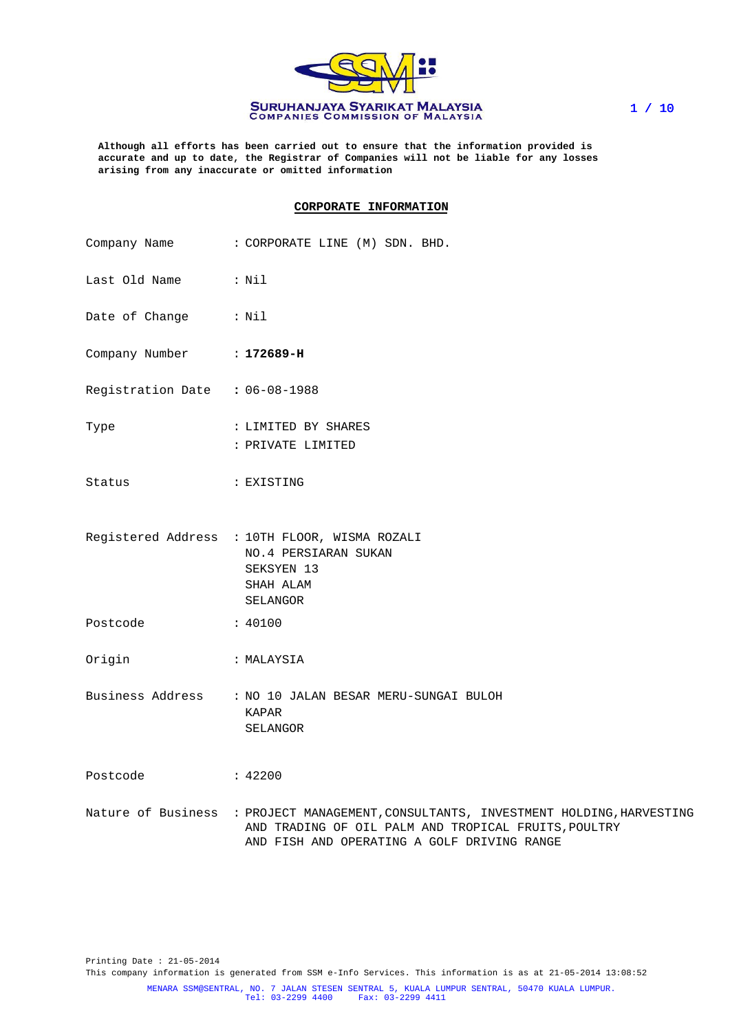

**Although all efforts has been carried out to ensure that the information provided is accurate and up to date, the Registrar of Companies will not be liable for any losses arising from any inaccurate or omitted information**

#### **CORPORATE INFORMATION**

|                                | Company Name : CORPORATE LINE (M) SDN. BHD.                                                                                                                                                 |
|--------------------------------|---------------------------------------------------------------------------------------------------------------------------------------------------------------------------------------------|
| Last Old Name : Nil            |                                                                                                                                                                                             |
| Date of Change : Nil           |                                                                                                                                                                                             |
| Company Number : 172689-H      |                                                                                                                                                                                             |
| Registration Date : 06-08-1988 |                                                                                                                                                                                             |
| Type                           | : LIMITED BY SHARES<br>: PRIVATE LIMITED                                                                                                                                                    |
| Status                         | : EXISTING                                                                                                                                                                                  |
|                                | Registered Address : 10TH FLOOR, WISMA ROZALI<br>NO. 4 PERSIARAN SUKAN<br>SEKSYEN 13<br>SHAH ALAM<br>SELANGOR                                                                               |
| Postcode                       | $\frac{1}{2}$ : 40100                                                                                                                                                                       |
| Origin                         | : MALAYSIA                                                                                                                                                                                  |
|                                | Business Address : NO 10 JALAN BESAR MERU-SUNGAI BULOH<br>KAPAR<br>SELANGOR                                                                                                                 |
| Postcode : 42200               |                                                                                                                                                                                             |
|                                | Nature of Business : PROJECT MANAGEMENT, CONSULTANTS, INVESTMENT HOLDING, HARVESTING<br>AND TRADING OF OIL PALM AND TROPICAL FRUITS, POULTRY<br>AND FISH AND OPERATING A GOLF DRIVING RANGE |

Printing Date : 21-05-2014 This company information is generated from SSM e-Info Services. This information is as at 21-05-2014 13:08:52 MENARA SSM@SENTRAL, NO. 7 JALAN STESEN SENTRAL 5, KUALA LUMPUR SENTRAL, 50470 KUALA LUMPUR. Tel: 03-2299 4400 Fax: 03-2299 4411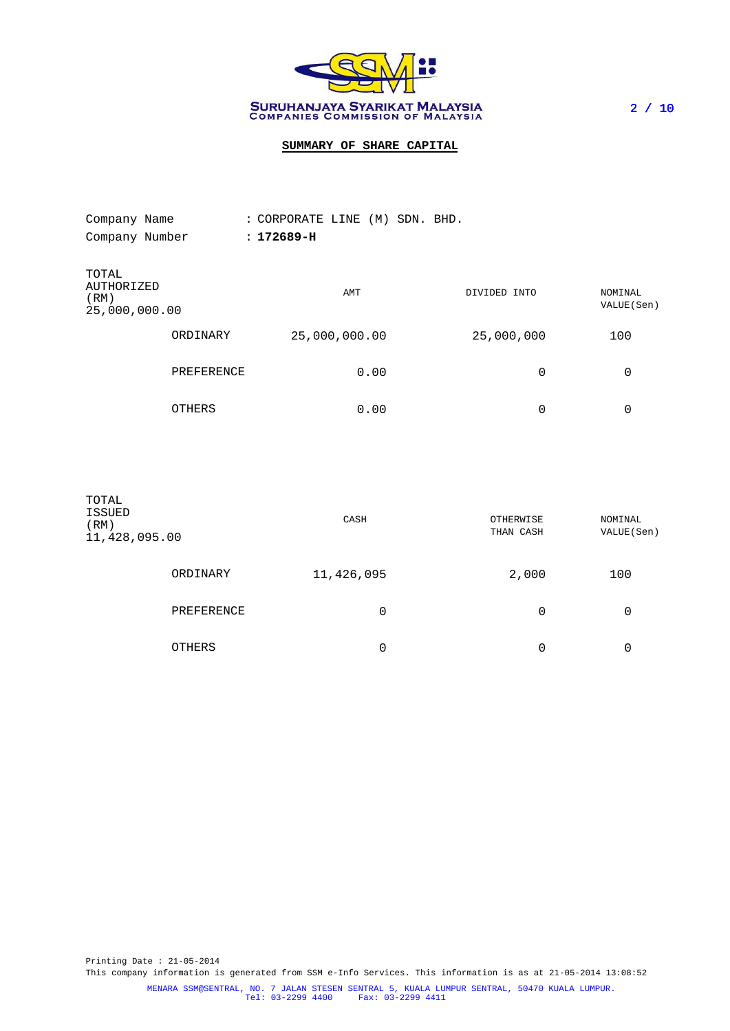

# **SUMMARY OF SHARE CAPITAL**

| Company Name                                 |            | : CORPORATE LINE (M) SDN. BHD. |              |                        |
|----------------------------------------------|------------|--------------------------------|--------------|------------------------|
| Company Number                               |            | $: 172689 - H$                 |              |                        |
| TOTAL<br>AUTHORIZED<br>(RM)<br>25,000,000.00 |            | AMT                            | DIVIDED INTO | NOMINAL<br>VALUE (Sen) |
|                                              | ORDINARY   | 25,000,000.00                  | 25,000,000   | 100                    |
|                                              | PREFERENCE | 0.00                           | 0            | 0                      |
|                                              | OTHERS     | 0.00                           | 0            | 0                      |

| TOTAL<br><b>ISSUED</b><br>(RM)<br>11,428,095.00 |            | CASH       | OTHERWISE<br>THAN CASH | NOMINAL<br>VALUE (Sen) |
|-------------------------------------------------|------------|------------|------------------------|------------------------|
|                                                 | ORDINARY   | 11,426,095 | 2,000                  | 100                    |
|                                                 | PREFERENCE | 0          | 0                      | 0                      |
|                                                 | OTHERS     | 0          | 0                      | 0                      |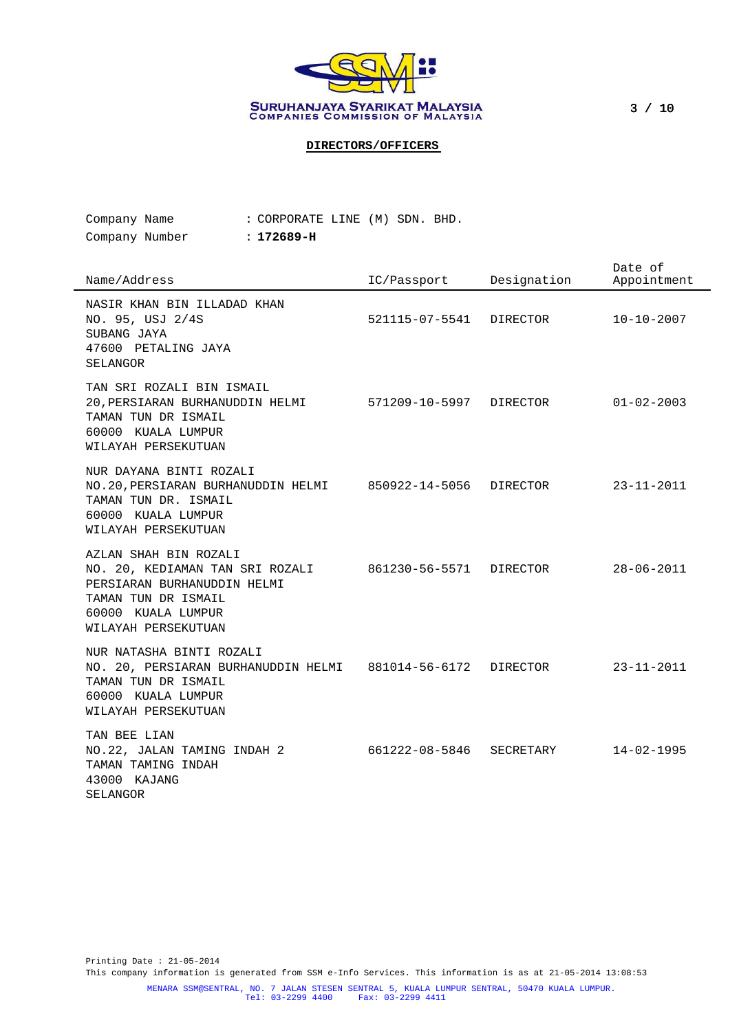

3 / 10

# **DIRECTORS/OFFICERS**

| $\alpha$ -  -  NT l - |  | . 100000                       |  |  |
|-----------------------|--|--------------------------------|--|--|
| Company Name          |  | : CORPORATE LINE (M) SDN. BHD. |  |  |

Company Number : **172689-H**

| Name/Address                                                                                                                                                | IC/Passport             | Designation | Date of<br>Appointment |
|-------------------------------------------------------------------------------------------------------------------------------------------------------------|-------------------------|-------------|------------------------|
| NASIR KHAN BIN ILLADAD KHAN<br>NO. 95, USJ 2/4S<br>SUBANG JAYA<br>47600 PETALING JAYA<br>SELANGOR                                                           | 521115-07-5541          | DIRECTOR    | $10 - 10 - 2007$       |
| TAN SRI ROZALI BIN ISMAIL<br>20, PERSIARAN BURHANUDDIN HELMI<br>TAMAN TUN DR ISMAIL<br>60000 KUALA LUMPUR<br>WILAYAH PERSEKUTUAN                            | 571209-10-5997 DIRECTOR |             | $01 - 02 - 2003$       |
| NUR DAYANA BINTI ROZALI<br>NO.20, PERSIARAN BURHANUDDIN HELMI 850922-14-5056<br>TAMAN TUN DR. ISMAIL<br>60000 KUALA LUMPUR<br>WILAYAH PERSEKUTUAN           |                         | DIRECTOR    | $23 - 11 - 2011$       |
| AZLAN SHAH BIN ROZALI<br>NO. 20, KEDIAMAN TAN SRI ROZALI<br>PERSIARAN BURHANUDDIN HELMI<br>TAMAN TUN DR ISMAIL<br>60000 KUALA LUMPUR<br>WILAYAH PERSEKUTUAN | 861230-56-5571 DIRECTOR |             | $28 - 06 - 2011$       |
| NUR NATASHA BINTI ROZALI<br>NO. 20, PERSIARAN BURHANUDDIN HELMI 881014-56-6172<br>TAMAN TUN DR ISMAIL<br>60000 KUALA LUMPUR<br>WILAYAH PERSEKUTUAN          |                         | DIRECTOR    | $23 - 11 - 2011$       |
| TAN BEE LIAN<br>NO.22, JALAN TAMING INDAH 2<br>TAMAN TAMING INDAH<br>43000 KAJANG<br>SELANGOR                                                               | 661222-08-5846          | SECRETARY   | $14 - 02 - 1995$       |

Printing Date : 21-05-2014 This company information is generated from SSM e-Info Services. This information is as at 21-05-2014 13:08:53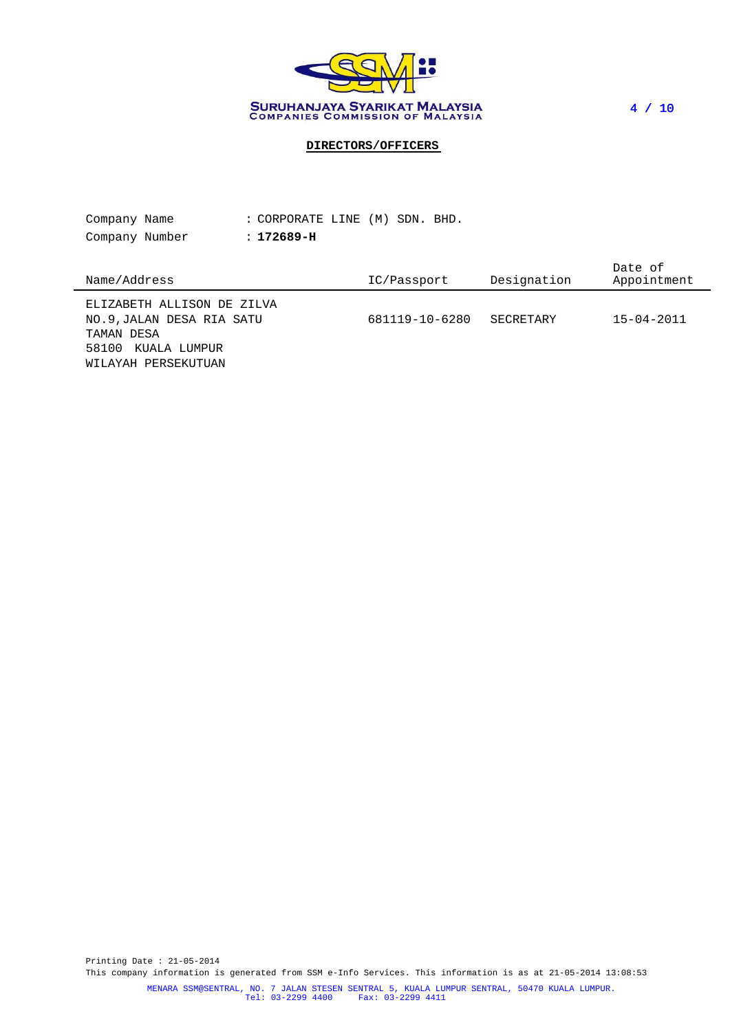

4 / 10

# **DIRECTORS/OFFICERS**

| Company Name                                                          | : CORPORATE LINE (M) SDN. BHD. |                |             |                        |
|-----------------------------------------------------------------------|--------------------------------|----------------|-------------|------------------------|
| Company Number                                                        | $: 172689-H$                   |                |             |                        |
| Name/Address                                                          |                                | IC/Passport    | Designation | Date of<br>Appointment |
| ELIZABETH ALLISON DE ZILVA<br>NO.9, JALAN DESA RIA SATU<br>TAMAN DESA |                                | 681119-10-6280 | SECRETARY   | $15 - 04 - 2011$       |

58100 KUALA LUMPUR WILAYAH PERSEKUTUAN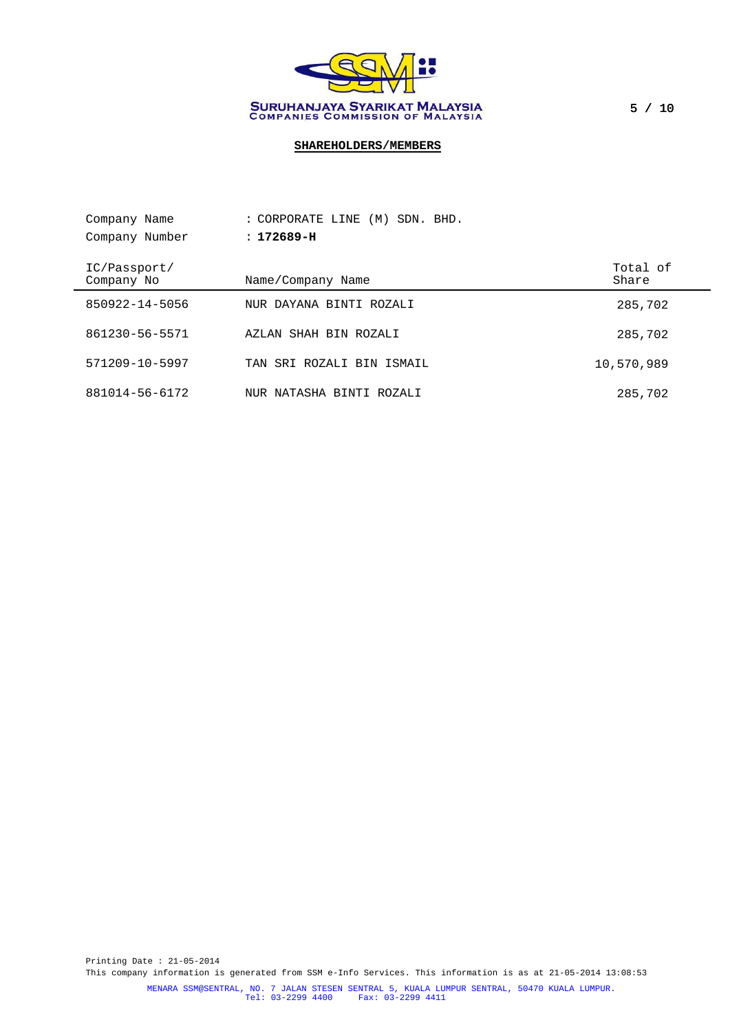

5 / 10

# **SHAREHOLDERS/MEMBERS**

| Company Name               | : CORPORATE LINE (M)<br>SDN. BHD. |                   |
|----------------------------|-----------------------------------|-------------------|
| Company Number             | $: 172689 - H$                    |                   |
| IC/Passport/<br>Company No | Name/Company Name                 | Total of<br>Share |
| 850922-14-5056             | NUR DAYANA BINTI ROZALI           | 285,702           |
| 861230-56-5571             | AZLAN SHAH BIN ROZALI             | 285,702           |
| 571209-10-5997             | TAN SRI ROZALI BIN ISMAIL         | 10,570,989        |
| 881014-56-6172             | NUR NATASHA BINTI ROZALI          | 285,702           |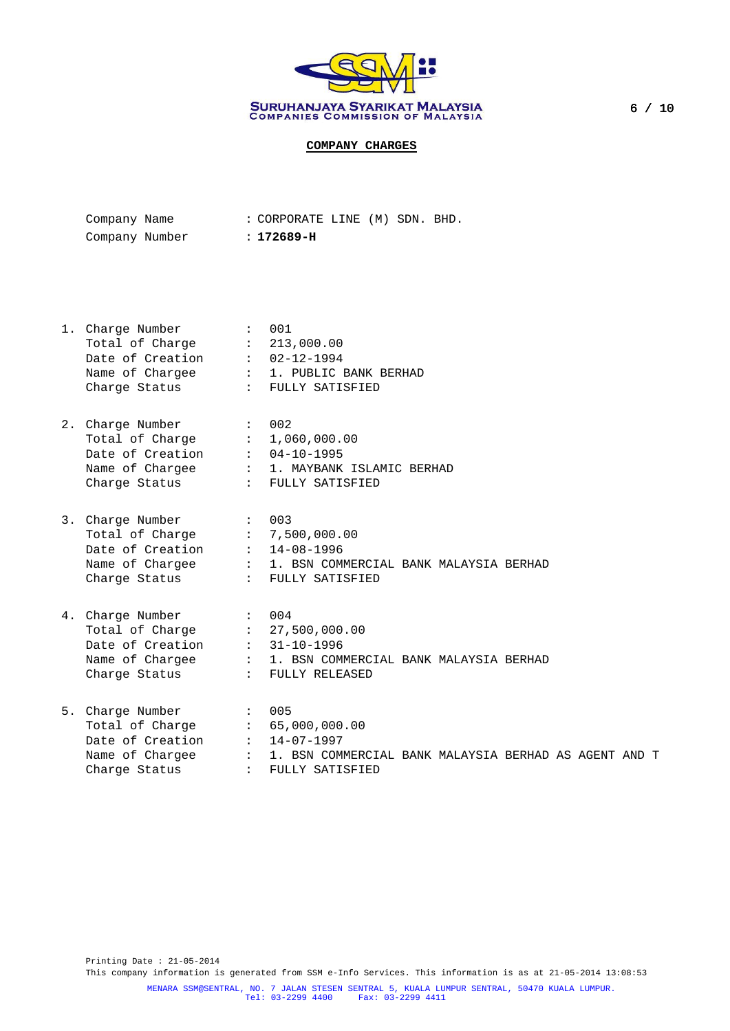

| Company Name   |  | : CORPORATE LINE (M) SDN. BHD. |  |  |
|----------------|--|--------------------------------|--|--|
| Company Number |  | : 172689-н                     |  |  |

| $\sim$ 001<br>1. Charge Number<br>Total of Charge : 213,000.00<br>Date of Creation : 02-12-1994<br>Name of Chargee : 1. PUBLIC BANK BERHAD<br>Charge Status : FULLY SATISFIED |                                                          |
|-------------------------------------------------------------------------------------------------------------------------------------------------------------------------------|----------------------------------------------------------|
| 2. Charge Number : 002<br>Total of Charge : 1,060,000.00<br>Date of Creation : 04-10-1995<br>Charge Status : FULLY SATISFIED                                                  | Name of Chargee : 1. MAYBANK ISLAMIC BERHAD              |
| 3. Charge Number : 003<br>Total of Charge : 7,500,000.00<br>Date of Creation : 14-08-1996<br>Charge Status : FULLY SATISFIED                                                  | Name of Chargee : 1. BSN COMMERCIAL BANK MALAYSIA BERHAD |
| 4. Charge Number : 004<br>Total of Charge : 27,500,000.00<br>Date of Creation : 31-10-1996<br>Charge Status : FULLY RELEASED                                                  | Name of Chargee : 1. BSN COMMERCIAL BANK MALAYSIA BERHAD |
| 5. Charge Number<br>$\sim$ 005<br>Total of Charge : 65,000,000.00<br>Date of Creation $: 14-07-1997$                                                                          |                                                          |

Name of Chargee : 1. BSN COMMERCIAL BANK MALAYSIA BERHAD AS AGENT AND T Charge Status : FULLY SATISFIED

Printing Date : 21-05-2014 This company information is generated from SSM e-Info Services. This information is as at 21-05-2014 13:08:53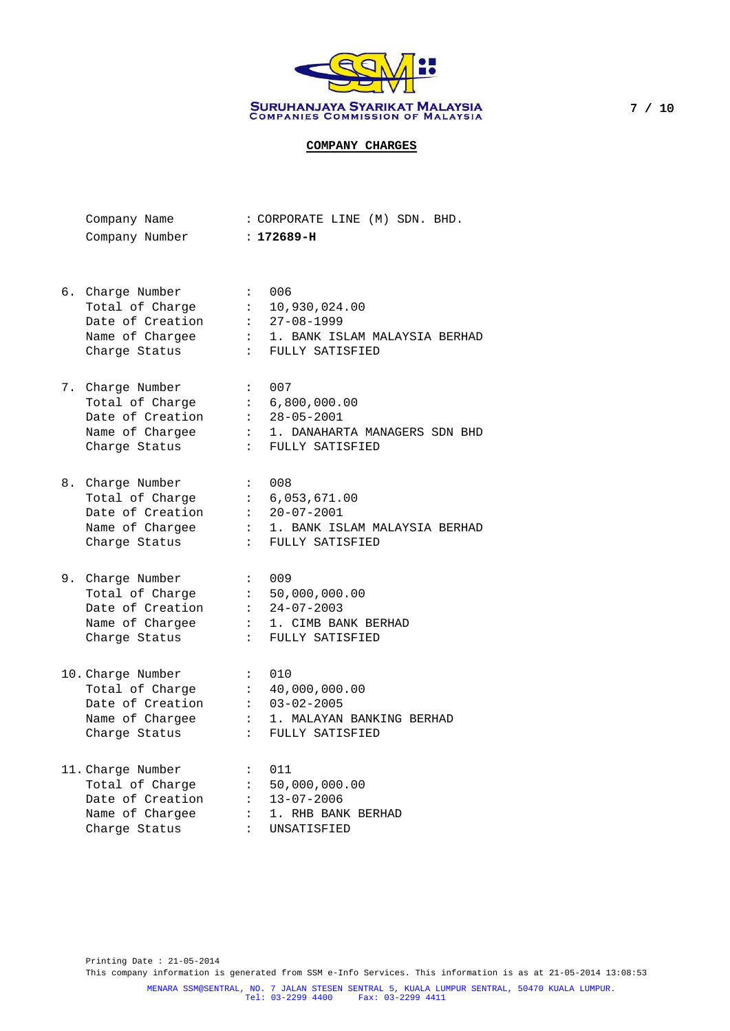

| Company Name   | : CORPORATE LINE (M) SDN. BHD. |  |  |
|----------------|--------------------------------|--|--|
| Company Number | : 172689-H                     |  |  |

- 6. Charge Number : 006 Total of Charge : 10,930,024.00 Date of Creation : 27-08-1999 Name of Chargee : 1. BANK ISLAM MALAYSIA BERHAD Charge Status : FULLY SATISFIED 7. Charge Number : 007 Total of Charge : 6,800,000.00 Date of Creation : 28-05-2001 Name of Chargee : 1. DANAHARTA MANAGERS SDN BHD Charge Status : FULLY SATISFIED
- 8. Charge Number : 008 Total of Charge : 6,053,671.00 Date of Creation : 20-07-2001 Name of Chargee : 1. BANK ISLAM MALAYSIA BERHAD Charge Status : FULLY SATISFIED
- 9. Charge Number : 009 Total of Charge : 50,000,000.00 Date of Creation : 24-07-2003 Name of Chargee : 1. CIMB BANK BERHAD Charge Status : FULLY SATISFIED
- 10. Charge Number : 010<br>Total of Charge : 40,000,000.00 Total of Charge Date of Creation : 03-02-2005 Name of Chargee : 1. MALAYAN BANKING BERHAD Charge Status : FULLY SATISFIED

| 11. Charge Number | : 011                |
|-------------------|----------------------|
| Total of Charge   | : 50,000,000.00      |
| Date of Creation  | $: 13 - 07 - 2006$   |
| Name of Chargee   | : 1. RHB BANK BERHAD |
| Charge Status     | : UNSATISFIED        |

Printing Date : 21-05-2014 This company information is generated from SSM e-Info Services. This information is as at 21-05-2014 13:08:53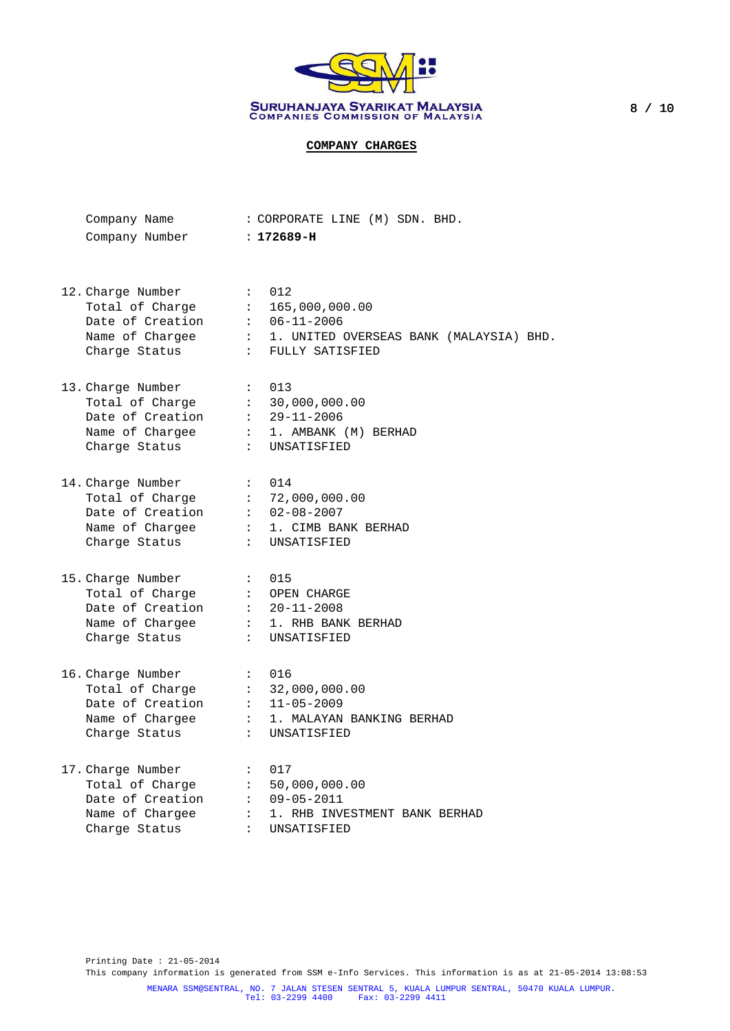

| Company Name   | : CORPORATE LINE (M) SDN. BHD. |  |
|----------------|--------------------------------|--|
| Company Number | : 172689-H                     |  |

12. Charge Number : 012 Total of Charge : 165,000,000.00 Date of Creation : 06-11-2006 Name of Chargee : 1. UNITED OVERSEAS BANK (MALAYSIA) BHD. Charge Status : FULLY SATISFIED 13. Charge Number : 013 Total of Charge : 30,000,000.00 Date of Creation : 29-11-2006 Name of Chargee : 1. AMBANK (M) BERHAD Charge Status : UNSATISFIED 14. Charge Number : 014 Total of Charge : 72,000,000.00 Date of Creation : 02-08-2007 Name of Chargee : 1. CIMB BANK BERHAD Charge Status : UNSATISFIED 15. Charge Number : 015 Total of Charge : OPEN CHARGE Date of Creation : 20-11-2008 Name of Chargee : 1. RHB BANK BERHAD Charge Status : UNSATISFIED 16. Charge Number : 016 Total of Charge : 32,000,000.00 Date of Creation : 11-05-2009 Name of Chargee : 1. MALAYAN BANKING BERHAD Charge Status : UNSATISFIED 17. Charge Number : 017 Total of Charge : 50,000,000.00 Date of Creation : 09-05-2011 Name of Chargee : 1. RHB INVESTMENT BANK BERHAD

Charge Status : UNSATISFIED

Printing Date : 21-05-2014 This company information is generated from SSM e-Info Services. This information is as at 21-05-2014 13:08:53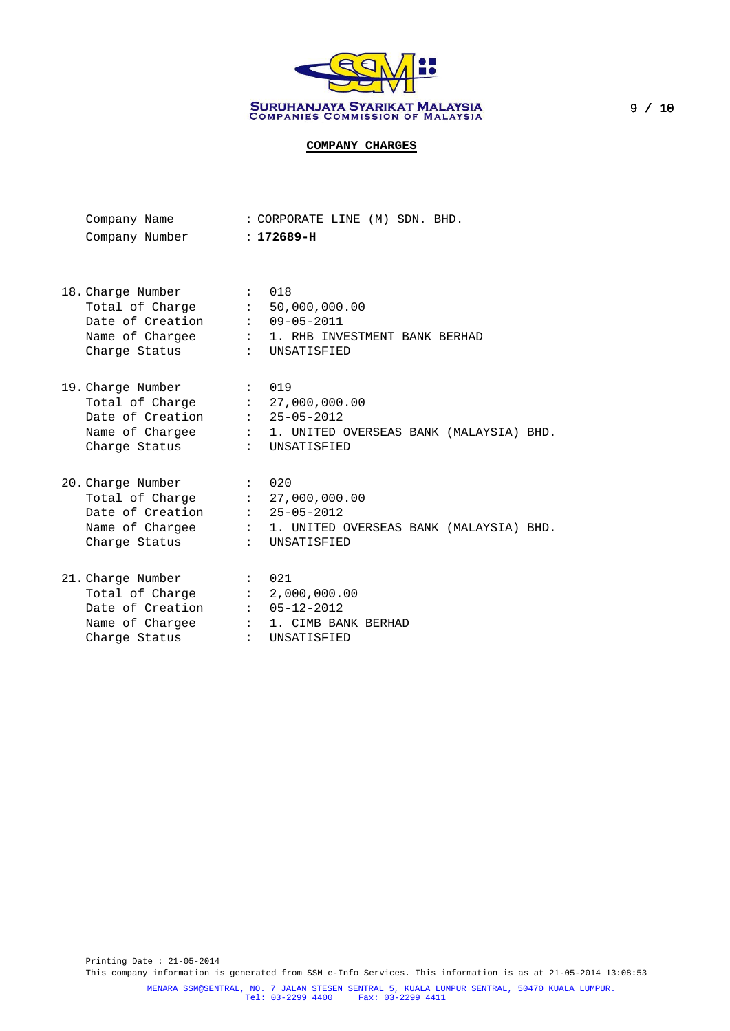

| Company Name   | : CORPORATE LINE (M) SDN. BHD. |  |
|----------------|--------------------------------|--|
| Company Number | $: 172689-H$                   |  |

- 18. Charge Number : 018 Total of Charge : 50,000,000.00 Date of Creation : 09-05-2011 Name of Chargee : 1. RHB INVESTMENT BANK BERHAD Charge Status : UNSATISFIED 19. Charge Number : 019 Total of Charge : 27,000,000.00 Date of Creation : 25-05-2012 Name of Chargee : 1. UNITED OVERSEAS BANK (MALAYSIA) BHD. Charge Status : UNSATISFIED 20. Charge Number : 020 Total of Charge : 27,000,000.00 Date of Creation : 25-05-2012 Name of Chargee : 1. UNITED OVERSEAS BANK (MALAYSIA) BHD. Charge Status : UNSATISFIED
- 21. Charge Number : 021 Total of Charge : 2,000,000.00 Date of Creation : 05-12-2012 Name of Chargee : 1. CIMB BANK BERHAD Charge Status : UNSATISFIED

Printing Date : 21-05-2014 This company information is generated from SSM e-Info Services. This information is as at 21-05-2014 13:08:53